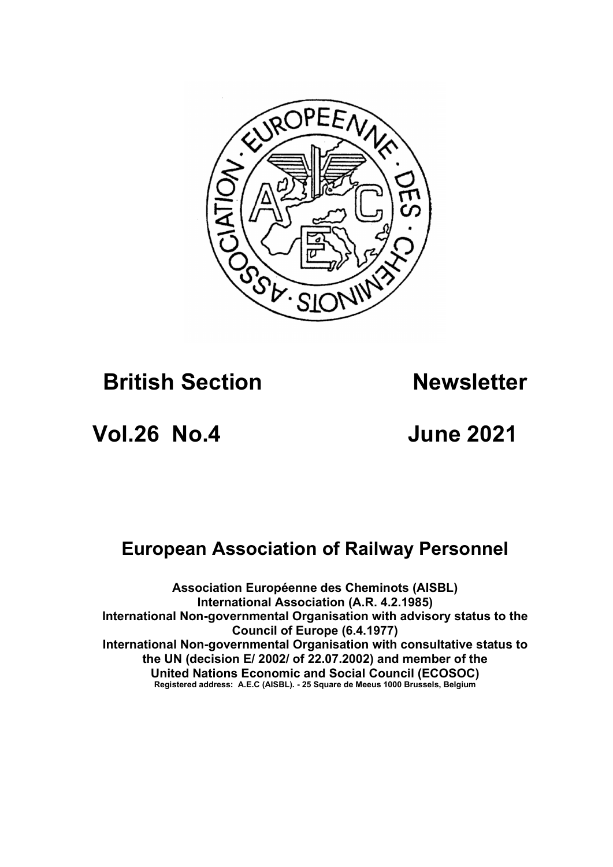

# **British Section Newsletter**

# Vol.26 No.4 June 2021

# European Association of Railway Personnel

Association Européenne des Cheminots (AISBL) International Association (A.R. 4.2.1985) International Non-governmental Organisation with advisory status to the Council of Europe (6.4.1977) International Non-governmental Organisation with consultative status to the UN (decision E/ 2002/ of  $22.07.2002$ ) and member of the United Nations Economic and Social Council (ECOSOC) Registered address: A.E.C (AISBL). - 25 Square de Meeus 1000 Brussels, Belgium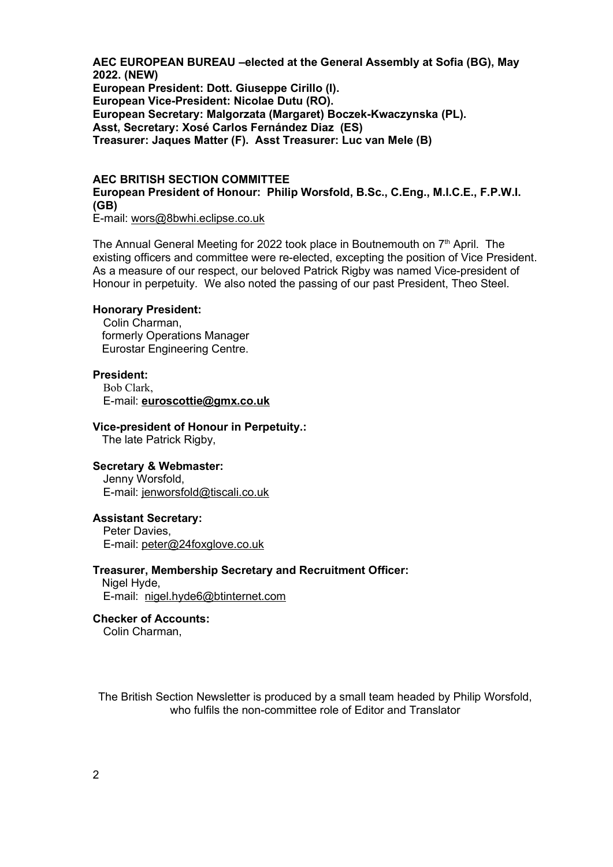AEC EUROPEAN BUREAU –elected at the General Assembly at Sofia (BG), May 2022. (NEW) European President: Dott. Giuseppe Cirillo (I). European Vice-President: Nicolae Dutu (RO). European Secretary: Malgorzata (Margaret) Boczek-Kwaczynska (PL). Asst, Secretary: Xosé Carlos Fernández Diaz (ES) Treasurer: Jaques Matter (F). Asst Treasurer: Luc van Mele (B)

# AEC BRITISH SECTION COMMITTEE European President of Honour: Philip Worsfold, B.Sc., C.Eng., M.I.C.E., F.P.W.I. (GB)

E-mail: wors@8bwhi.eclipse.co.uk

The Annual General Meeting for 2022 took place in Boutnemouth on  $7<sup>th</sup>$  April. The existing officers and committee were re-elected, excepting the position of Vice President. As a measure of our respect, our beloved Patrick Rigby was named Vice-president of Honour in perpetuity. We also noted the passing of our past President, Theo Steel.

### Honorary President:

Colin Charman, formerly Operations Manager Eurostar Engineering Centre.

### President:

Bob Clark, E-mail: euroscottie@gmx.co.uk

#### Vice-president of Honour in Perpetuity.:

The late Patrick Rigby,

### Secretary & Webmaster:

Jenny Worsfold, E-mail: jenworsfold@tiscali.co.uk

#### Assistant Secretary: Peter Davies,

E-mail: peter@24foxglove.co.uk

# Treasurer, Membership Secretary and Recruitment Officer:

Nigel Hyde, E-mail: nigel.hyde6@btinternet.com

# Checker of Accounts:

Colin Charman,

The British Section Newsletter is produced by a small team headed by Philip Worsfold, who fulfils the non-committee role of Editor and Translator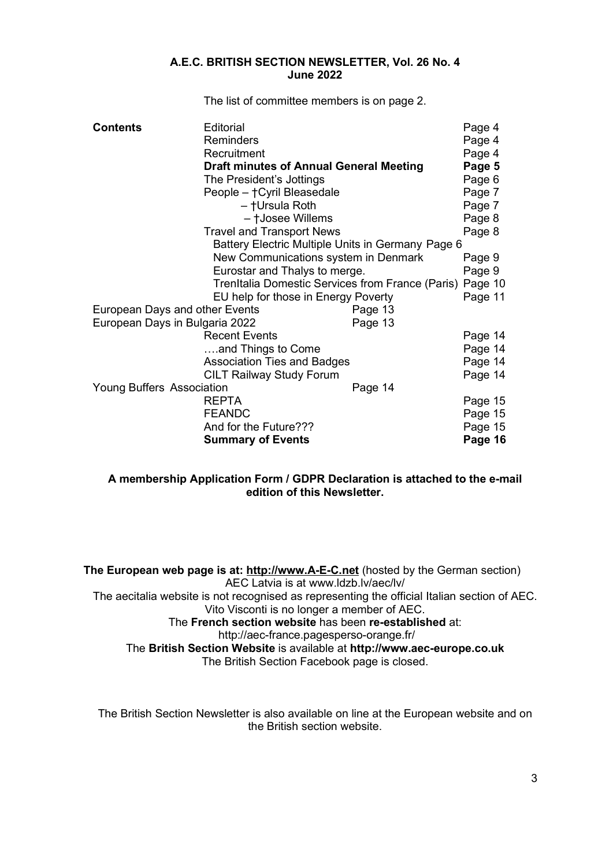### A.E.C. BRITISH SECTION NEWSLETTER, Vol. 26 No. 4 June 2022

The list of committee members is on page 2.

| <b>Contents</b>                                          | Editorial                          |        | Page 4  |
|----------------------------------------------------------|------------------------------------|--------|---------|
|                                                          | Reminders                          |        | Page 4  |
| Recruitment                                              |                                    | Page 4 |         |
| <b>Draft minutes of Annual General Meeting</b>           |                                    | Page 5 |         |
| The President's Jottings                                 |                                    | Page 6 |         |
| People - † Cyril Bleasedale                              |                                    | Page 7 |         |
| - †Ursula Roth                                           |                                    | Page 7 |         |
| - †Josee Willems                                         |                                    | Page 8 |         |
| <b>Travel and Transport News</b>                         |                                    | Page 8 |         |
| Battery Electric Multiple Units in Germany Page 6        |                                    |        |         |
| New Communications system in Denmark                     |                                    |        | Page 9  |
| Eurostar and Thalys to merge.                            |                                    | Page 9 |         |
| TrenItalia Domestic Services from France (Paris) Page 10 |                                    |        |         |
| EU help for those in Energy Poverty                      |                                    |        | Page 11 |
| European Days and other Events<br>Page 13                |                                    |        |         |
| European Days in Bulgaria 2022<br>Page 13                |                                    |        |         |
|                                                          | <b>Recent Events</b>               |        | Page 14 |
|                                                          | and Things to Come                 |        | Page 14 |
|                                                          | <b>Association Ties and Badges</b> |        | Page 14 |
|                                                          | <b>CILT Railway Study Forum</b>    |        | Page 14 |
| <b>Young Buffers Association</b><br>Page 14              |                                    |        |         |
|                                                          | <b>REPTA</b>                       |        | Page 15 |
|                                                          | <b>FEANDC</b>                      |        | Page 15 |
|                                                          | And for the Future???              |        | Page 15 |
|                                                          | <b>Summary of Events</b>           |        | Page 16 |

# A membership Application Form / GDPR Declaration is attached to the e-mail edition of this Newsletter.

The European web page is at: http://www.A-E-C.net (hosted by the German section) AEC Latvia is at www.ldzb.lv/aec/lv/ The aecitalia website is not recognised as representing the official Italian section of AEC. Vito Visconti is no longer a member of AEC. The French section website has been re-established at: http://aec-france.pagesperso-orange.fr/ The British Section Website is available at http://www.aec-europe.co.uk The British Section Facebook page is closed.

The British Section Newsletter is also available on line at the European website and on the British section website.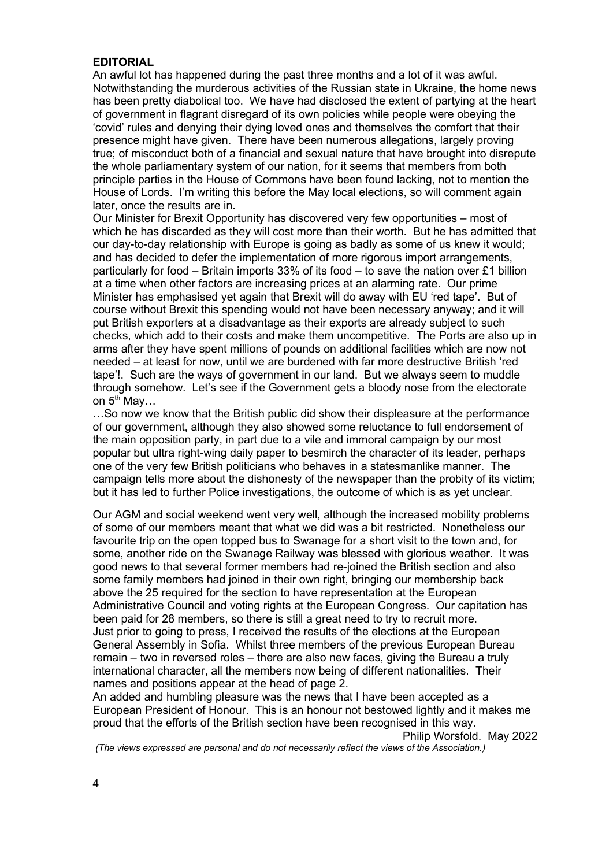# EDITORIAL

An awful lot has happened during the past three months and a lot of it was awful. Notwithstanding the murderous activities of the Russian state in Ukraine, the home news has been pretty diabolical too. We have had disclosed the extent of partying at the heart of government in flagrant disregard of its own policies while people were obeying the 'covid' rules and denying their dying loved ones and themselves the comfort that their presence might have given. There have been numerous allegations, largely proving true; of misconduct both of a financial and sexual nature that have brought into disrepute the whole parliamentary system of our nation, for it seems that members from both principle parties in the House of Commons have been found lacking, not to mention the House of Lords. I'm writing this before the May local elections, so will comment again later, once the results are in.

Our Minister for Brexit Opportunity has discovered very few opportunities – most of which he has discarded as they will cost more than their worth. But he has admitted that our day-to-day relationship with Europe is going as badly as some of us knew it would; and has decided to defer the implementation of more rigorous import arrangements, particularly for food – Britain imports 33% of its food – to save the nation over £1 billion at a time when other factors are increasing prices at an alarming rate. Our prime Minister has emphasised yet again that Brexit will do away with EU 'red tape'. But of course without Brexit this spending would not have been necessary anyway; and it will put British exporters at a disadvantage as their exports are already subject to such checks, which add to their costs and make them uncompetitive. The Ports are also up in arms after they have spent millions of pounds on additional facilities which are now not needed – at least for now, until we are burdened with far more destructive British 'red tape'!. Such are the ways of government in our land. But we always seem to muddle through somehow. Let's see if the Government gets a bloody nose from the electorate on  $5^{th}$  May...

…So now we know that the British public did show their displeasure at the performance of our government, although they also showed some reluctance to full endorsement of the main opposition party, in part due to a vile and immoral campaign by our most popular but ultra right-wing daily paper to besmirch the character of its leader, perhaps one of the very few British politicians who behaves in a statesmanlike manner. The campaign tells more about the dishonesty of the newspaper than the probity of its victim; but it has led to further Police investigations, the outcome of which is as yet unclear.

Our AGM and social weekend went very well, although the increased mobility problems of some of our members meant that what we did was a bit restricted. Nonetheless our favourite trip on the open topped bus to Swanage for a short visit to the town and, for some, another ride on the Swanage Railway was blessed with glorious weather. It was good news to that several former members had re-joined the British section and also some family members had joined in their own right, bringing our membership back above the 25 required for the section to have representation at the European Administrative Council and voting rights at the European Congress. Our capitation has been paid for 28 members, so there is still a great need to try to recruit more. Just prior to going to press, I received the results of the elections at the European General Assembly in Sofia. Whilst three members of the previous European Bureau remain – two in reversed roles – there are also new faces, giving the Bureau a truly international character, all the members now being of different nationalities. Their names and positions appear at the head of page 2.

An added and humbling pleasure was the news that I have been accepted as a European President of Honour. This is an honour not bestowed lightly and it makes me proud that the efforts of the British section have been recognised in this way.

Philip Worsfold. May 2022

(The views expressed are personal and do not necessarily reflect the views of the Association.)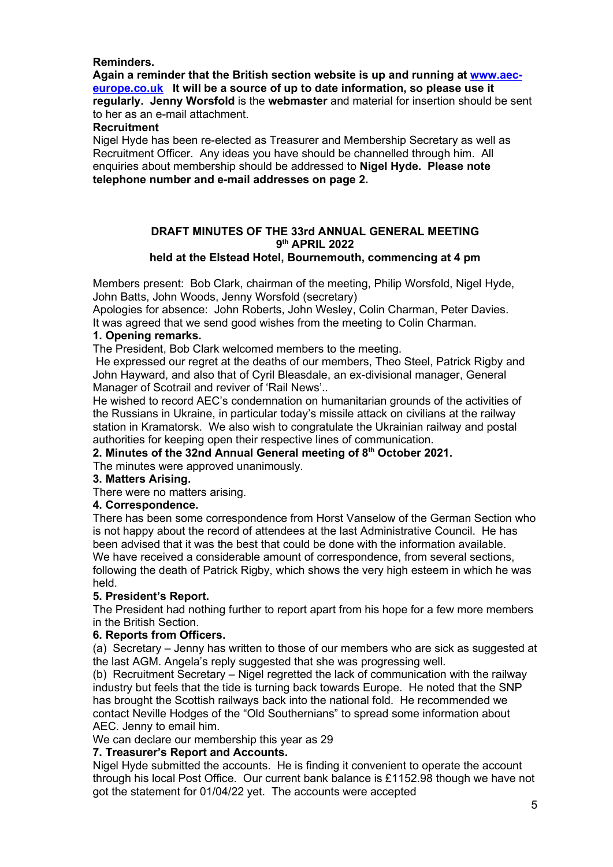# Reminders.

Again a reminder that the British section website is up and running at www.aeceurope.co.uk It will be a source of up to date information, so please use it regularly. Jenny Worsfold is the webmaster and material for insertion should be sent to her as an e-mail attachment.

# Recruitment

Nigel Hyde has been re-elected as Treasurer and Membership Secretary as well as Recruitment Officer. Any ideas you have should be channelled through him. All enquiries about membership should be addressed to Nigel Hyde. Please note telephone number and e-mail addresses on page 2.

# DRAFT MINUTES OF THE 33rd ANNUAL GENERAL MEETING 9<sup>th</sup> APRIL 2022 held at the Elstead Hotel, Bournemouth, commencing at 4 pm

# Members present: Bob Clark, chairman of the meeting, Philip Worsfold, Nigel Hyde,

John Batts, John Woods, Jenny Worsfold (secretary)

Apologies for absence: John Roberts, John Wesley, Colin Charman, Peter Davies. It was agreed that we send good wishes from the meeting to Colin Charman.

# 1. Opening remarks.

The President, Bob Clark welcomed members to the meeting.

 He expressed our regret at the deaths of our members, Theo Steel, Patrick Rigby and John Hayward, and also that of Cyril Bleasdale, an ex-divisional manager, General Manager of Scotrail and reviver of 'Rail News'..

He wished to record AEC's condemnation on humanitarian grounds of the activities of the Russians in Ukraine, in particular today's missile attack on civilians at the railway station in Kramatorsk. We also wish to congratulate the Ukrainian railway and postal authorities for keeping open their respective lines of communication.

# 2. Minutes of the 32nd Annual General meeting of 8<sup>th</sup> October 2021.

# The minutes were approved unanimously.

# 3. Matters Arising.

There were no matters arising.

# 4. Correspondence.

There has been some correspondence from Horst Vanselow of the German Section who is not happy about the record of attendees at the last Administrative Council. He has been advised that it was the best that could be done with the information available. We have received a considerable amount of correspondence, from several sections, following the death of Patrick Rigby, which shows the very high esteem in which he was held.

# 5. President's Report.

The President had nothing further to report apart from his hope for a few more members in the British Section.

# 6. Reports from Officers.

(a) Secretary – Jenny has written to those of our members who are sick as suggested at the last AGM. Angela's reply suggested that she was progressing well.

(b) Recruitment Secretary – Nigel regretted the lack of communication with the railway industry but feels that the tide is turning back towards Europe. He noted that the SNP has brought the Scottish railways back into the national fold. He recommended we contact Neville Hodges of the "Old Southernians" to spread some information about AEC. Jenny to email him.

We can declare our membership this year as 29

# 7. Treasurer's Report and Accounts.

Nigel Hyde submitted the accounts. He is finding it convenient to operate the account through his local Post Office. Our current bank balance is £1152.98 though we have not got the statement for 01/04/22 yet. The accounts were accepted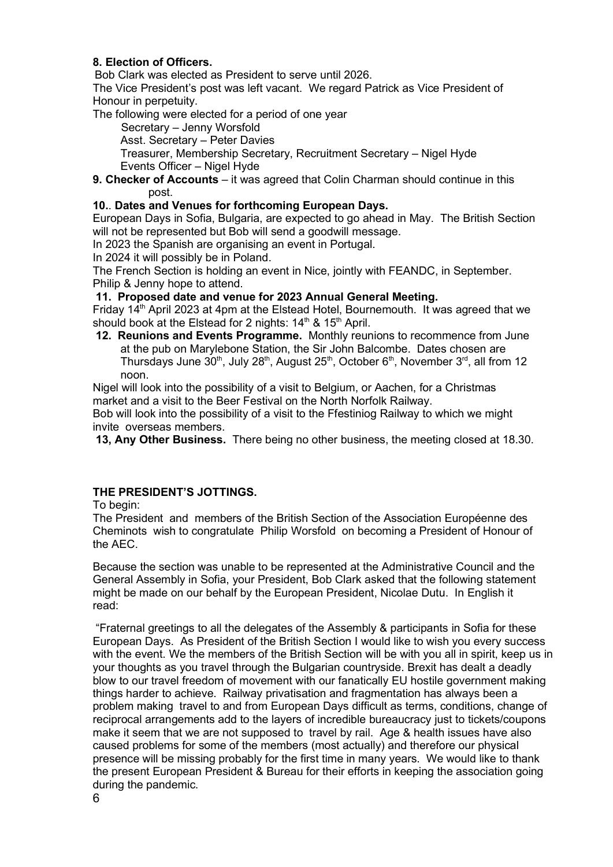# 8. Election of Officers.

Bob Clark was elected as President to serve until 2026.

The Vice President's post was left vacant. We regard Patrick as Vice President of Honour in perpetuity.

The following were elected for a period of one year

Secretary – Jenny Worsfold

Asst. Secretary – Peter Davies

Treasurer, Membership Secretary, Recruitment Secretary – Nigel Hyde Events Officer – Nigel Hyde

9. Checker of Accounts – it was agreed that Colin Charman should continue in this post.

# 10.. Dates and Venues for forthcoming European Days.

European Days in Sofia, Bulgaria, are expected to go ahead in May. The British Section will not be represented but Bob will send a goodwill message.

In 2023 the Spanish are organising an event in Portugal.

In 2024 it will possibly be in Poland.

The French Section is holding an event in Nice, jointly with FEANDC, in September. Philip & Jenny hope to attend.

# 11. Proposed date and venue for 2023 Annual General Meeting.

Friday 14<sup>th</sup> April 2023 at 4pm at the Elstead Hotel, Bournemouth. It was agreed that we should book at the Elstead for 2 nights: 14<sup>th</sup> & 15<sup>th</sup> April.

12. Reunions and Events Programme. Monthly reunions to recommence from June at the pub on Marylebone Station, the Sir John Balcombe. Dates chosen are Thursdays June 30<sup>th</sup>, July 28<sup>th</sup>, August 25<sup>th</sup>, October 6<sup>th</sup>, November 3<sup>rd</sup>, all from 12 noon.

Nigel will look into the possibility of a visit to Belgium, or Aachen, for a Christmas market and a visit to the Beer Festival on the North Norfolk Railway.

Bob will look into the possibility of a visit to the Ffestiniog Railway to which we might invite overseas members.

13, Any Other Business. There being no other business, the meeting closed at 18.30.

# THE PRESIDENT'S JOTTINGS.

To begin:

The President and members of the British Section of the Association Européenne des Cheminots wish to congratulate Philip Worsfold on becoming a President of Honour of the AEC.

Because the section was unable to be represented at the Administrative Council and the General Assembly in Sofia, your President, Bob Clark asked that the following statement might be made on our behalf by the European President, Nicolae Dutu. In English it read:

 "Fraternal greetings to all the delegates of the Assembly & participants in Sofia for these European Days. As President of the British Section I would like to wish you every success with the event. We the members of the British Section will be with you all in spirit, keep us in your thoughts as you travel through the Bulgarian countryside. Brexit has dealt a deadly blow to our travel freedom of movement with our fanatically EU hostile government making things harder to achieve. Railway privatisation and fragmentation has always been a problem making travel to and from European Days difficult as terms, conditions, change of reciprocal arrangements add to the layers of incredible bureaucracy just to tickets/coupons make it seem that we are not supposed to travel by rail. Age & health issues have also caused problems for some of the members (most actually) and therefore our physical presence will be missing probably for the first time in many years. We would like to thank the present European President & Bureau for their efforts in keeping the association going during the pandemic.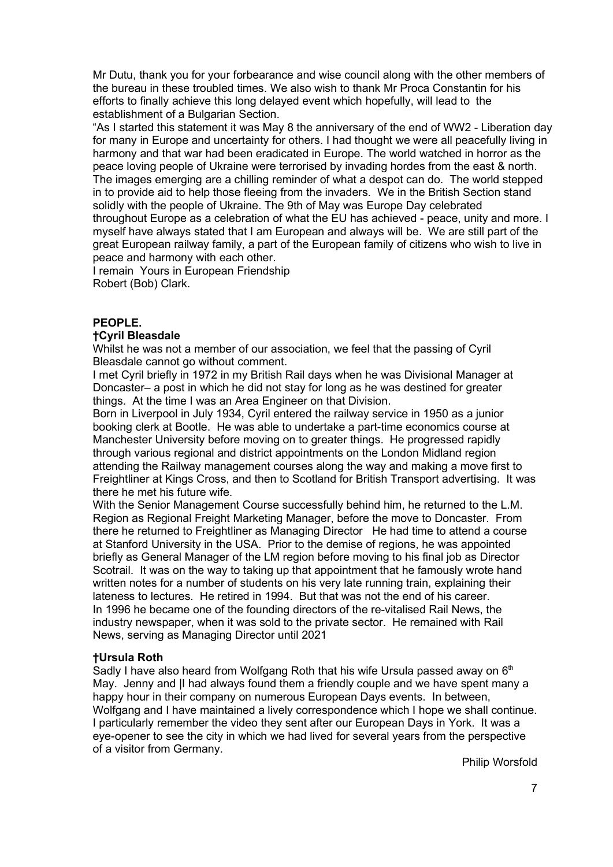Mr Dutu, thank you for your forbearance and wise council along with the other members of the bureau in these troubled times. We also wish to thank Mr Proca Constantin for his efforts to finally achieve this long delayed event which hopefully, will lead to the establishment of a Bulgarian Section.

"As I started this statement it was May 8 the anniversary of the end of WW2 - Liberation day for many in Europe and uncertainty for others. I had thought we were all peacefully living in harmony and that war had been eradicated in Europe. The world watched in horror as the peace loving people of Ukraine were terrorised by invading hordes from the east & north. The images emerging are a chilling reminder of what a despot can do. The world stepped in to provide aid to help those fleeing from the invaders. We in the British Section stand solidly with the people of Ukraine. The 9th of May was Europe Day celebrated throughout Europe as a celebration of what the EU has achieved - peace, unity and more. I myself have always stated that I am European and always will be. We are still part of the great European railway family, a part of the European family of citizens who wish to live in peace and harmony with each other.

I remain Yours in European Friendship Robert (Bob) Clark.

# PEOPLE.

# †Cyril Bleasdale

Whilst he was not a member of our association, we feel that the passing of Cyril Bleasdale cannot go without comment.

I met Cyril briefly in 1972 in my British Rail days when he was Divisional Manager at Doncaster– a post in which he did not stay for long as he was destined for greater things. At the time I was an Area Engineer on that Division.

Born in Liverpool in July 1934, Cyril entered the railway service in 1950 as a junior booking clerk at Bootle. He was able to undertake a part-time economics course at Manchester University before moving on to greater things. He progressed rapidly through various regional and district appointments on the London Midland region attending the Railway management courses along the way and making a move first to Freightliner at Kings Cross, and then to Scotland for British Transport advertising. It was there he met his future wife.

With the Senior Management Course successfully behind him, he returned to the L.M. Region as Regional Freight Marketing Manager, before the move to Doncaster. From there he returned to Freightliner as Managing Director He had time to attend a course at Stanford University in the USA. Prior to the demise of regions, he was appointed briefly as General Manager of the LM region before moving to his final job as Director Scotrail. It was on the way to taking up that appointment that he famously wrote hand written notes for a number of students on his very late running train, explaining their lateness to lectures. He retired in 1994. But that was not the end of his career. In 1996 he became one of the founding directors of the re-vitalised Rail News, the industry newspaper, when it was sold to the private sector. He remained with Rail News, serving as Managing Director until 2021

# †Ursula Roth

Sadly I have also heard from Wolfgang Roth that his wife Ursula passed away on  $6<sup>th</sup>$ May. Jenny and |I had always found them a friendly couple and we have spent many a happy hour in their company on numerous European Days events. In between, Wolfgang and I have maintained a lively correspondence which I hope we shall continue. I particularly remember the video they sent after our European Days in York. It was a eye-opener to see the city in which we had lived for several years from the perspective of a visitor from Germany.

Philip Worsfold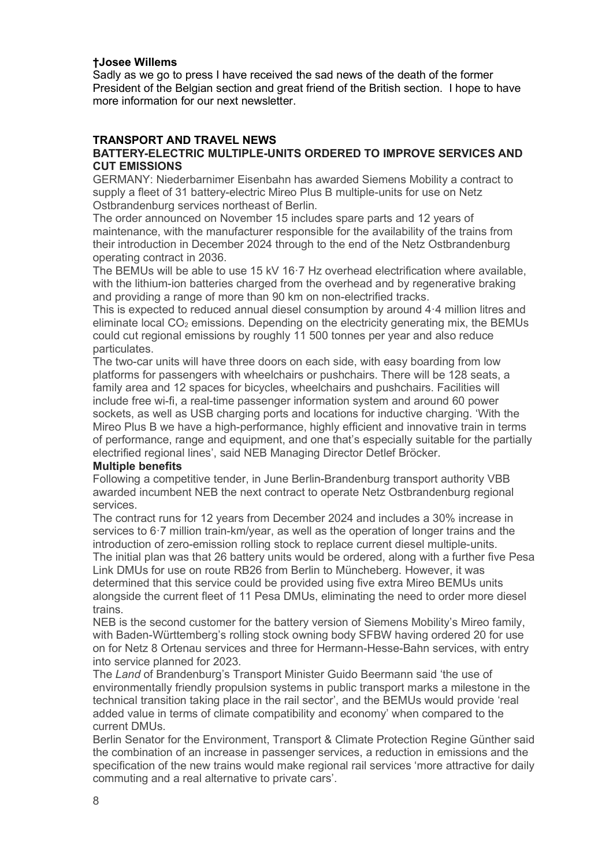# †Josee Willems

Sadly as we go to press I have received the sad news of the death of the former President of the Belgian section and great friend of the British section. I hope to have more information for our next newsletter.

# TRANSPORT AND TRAVEL NEWS

# BATTERY-ELECTRIC MULTIPLE-UNITS ORDERED TO IMPROVE SERVICES AND CUT EMISSIONS

GERMANY: Niederbarnimer Eisenbahn has awarded Siemens Mobility a contract to supply a fleet of 31 battery-electric Mireo Plus B multiple-units for use on Netz Ostbrandenburg services northeast of Berlin.

The order announced on November 15 includes spare parts and 12 years of maintenance, with the manufacturer responsible for the availability of the trains from their introduction in December 2024 through to the end of the Netz Ostbrandenburg operating contract in 2036.

The BEMUs will be able to use 15 kV 16·7 Hz overhead electrification where available, with the lithium-ion batteries charged from the overhead and by regenerative braking and providing a range of more than 90 km on non-electrified tracks.

This is expected to reduced annual diesel consumption by around 4·4 million litres and eliminate local  $CO<sub>2</sub>$  emissions. Depending on the electricity generating mix, the BEMUs could cut regional emissions by roughly 11 500 tonnes per year and also reduce particulates.

The two-car units will have three doors on each side, with easy boarding from low platforms for passengers with wheelchairs or pushchairs. There will be 128 seats, a family area and 12 spaces for bicycles, wheelchairs and pushchairs. Facilities will include free wi-fi, a real-time passenger information system and around 60 power sockets, as well as USB charging ports and locations for inductive charging. 'With the Mireo Plus B we have a high-performance, highly efficient and innovative train in terms of performance, range and equipment, and one that's especially suitable for the partially electrified regional lines', said NEB Managing Director Detlef Bröcker.

### Multiple benefits

Following a competitive tender, in June Berlin-Brandenburg transport authority VBB awarded incumbent NEB the next contract to operate Netz Ostbrandenburg regional services.

The contract runs for 12 years from December 2024 and includes a 30% increase in services to 6·7 million train-km/year, as well as the operation of longer trains and the introduction of zero-emission rolling stock to replace current diesel multiple-units. The initial plan was that 26 battery units would be ordered, along with a further five Pesa Link DMUs for use on route RB26 from Berlin to Müncheberg. However, it was determined that this service could be provided using five extra Mireo BEMUs units alongside the current fleet of 11 Pesa DMUs, eliminating the need to order more diesel trains.

NEB is the second customer for the battery version of Siemens Mobility's Mireo family, with Baden-Württemberg's rolling stock owning body SFBW having ordered 20 for use on for Netz 8 Ortenau services and three for Hermann-Hesse-Bahn services, with entry into service planned for 2023.

The Land of Brandenburg's Transport Minister Guido Beermann said 'the use of environmentally friendly propulsion systems in public transport marks a milestone in the technical transition taking place in the rail sector', and the BEMUs would provide 'real added value in terms of climate compatibility and economy' when compared to the current DMUs.

Berlin Senator for the Environment, Transport & Climate Protection Regine Günther said the combination of an increase in passenger services, a reduction in emissions and the specification of the new trains would make regional rail services 'more attractive for daily commuting and a real alternative to private cars'.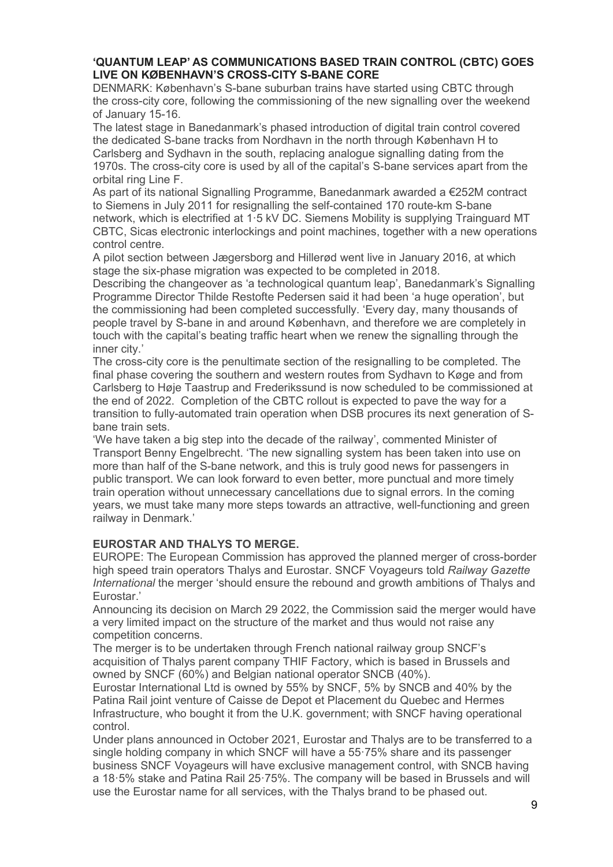# 'QUANTUM LEAP' AS COMMUNICATIONS BASED TRAIN CONTROL (CBTC) GOES LIVE ON KØBENHAVN'S CROSS-CITY S-BANE CORE

DENMARK: København's S-bane suburban trains have started using CBTC through the cross-city core, following the commissioning of the new signalling over the weekend of January 15-16.

The latest stage in Banedanmark's phased introduction of digital train control covered the dedicated S-bane tracks from Nordhavn in the north through København H to Carlsberg and Sydhavn in the south, replacing analogue signalling dating from the 1970s. The cross-city core is used by all of the capital's S-bane services apart from the orbital ring Line F.

As part of its national Signalling Programme, Banedanmark awarded a €252M contract to Siemens in July 2011 for resignalling the self-contained 170 route-km S-bane network, which is electrified at 1·5 kV DC. Siemens Mobility is supplying Trainguard MT CBTC, Sicas electronic interlockings and point machines, together with a new operations control centre.

A pilot section between Jægersborg and Hillerød went live in January 2016, at which stage the six-phase migration was expected to be completed in 2018.

Describing the changeover as 'a technological quantum leap', Banedanmark's Signalling Programme Director Thilde Restofte Pedersen said it had been 'a huge operation', but the commissioning had been completed successfully. 'Every day, many thousands of people travel by S-bane in and around København, and therefore we are completely in touch with the capital's beating traffic heart when we renew the signalling through the inner city.'

The cross-city core is the penultimate section of the resignalling to be completed. The final phase covering the southern and western routes from Sydhavn to Køge and from Carlsberg to Høje Taastrup and Frederikssund is now scheduled to be commissioned at the end of 2022. Completion of the CBTC rollout is expected to pave the way for a transition to fully-automated train operation when DSB procures its next generation of Sbane train sets.

'We have taken a big step into the decade of the railway', commented Minister of Transport Benny Engelbrecht. 'The new signalling system has been taken into use on more than half of the S-bane network, and this is truly good news for passengers in public transport. We can look forward to even better, more punctual and more timely train operation without unnecessary cancellations due to signal errors. In the coming years, we must take many more steps towards an attractive, well-functioning and green railway in Denmark.'

# EUROSTAR AND THALYS TO MERGE.

EUROPE: The European Commission has approved the planned merger of cross-border high speed train operators Thalys and Eurostar. SNCF Voyageurs told Railway Gazette International the merger 'should ensure the rebound and growth ambitions of Thalys and Eurostar.'

Announcing its decision on March 29 2022, the Commission said the merger would have a very limited impact on the structure of the market and thus would not raise any competition concerns.

The merger is to be undertaken through French national railway group SNCF's acquisition of Thalys parent company THIF Factory, which is based in Brussels and owned by SNCF (60%) and Belgian national operator SNCB (40%).

Eurostar International Ltd is owned by 55% by SNCF, 5% by SNCB and 40% by the Patina Rail joint venture of Caisse de Depot et Placement du Quebec and Hermes Infrastructure, who bought it from the U.K. government; with SNCF having operational control.

Under plans announced in October 2021, Eurostar and Thalys are to be transferred to a single holding company in which SNCF will have a 55·75% share and its passenger business SNCF Voyageurs will have exclusive management control, with SNCB having a 18·5% stake and Patina Rail 25·75%. The company will be based in Brussels and will use the Eurostar name for all services, with the Thalys brand to be phased out.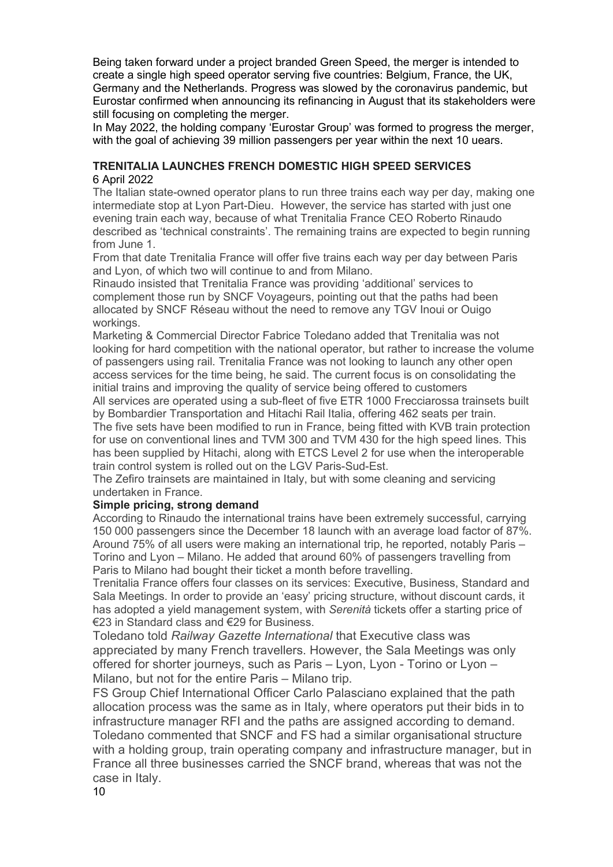Being taken forward under a project branded Green Speed, the merger is intended to create a single high speed operator serving five countries: Belgium, France, the UK, Germany and the Netherlands. Progress was slowed by the coronavirus pandemic, but Eurostar confirmed when announcing its refinancing in August that its stakeholders were still focusing on completing the merger.

In May 2022, the holding company 'Eurostar Group' was formed to progress the merger, with the goal of achieving 39 million passengers per year within the next 10 uears.

# TRENITALIA LAUNCHES FRENCH DOMESTIC HIGH SPEED SERVICES 6 April 2022

The Italian state-owned operator plans to run three trains each way per day, making one intermediate stop at Lyon Part-Dieu. However, the service has started with just one evening train each way, because of what Trenitalia France CEO Roberto Rinaudo described as 'technical constraints'. The remaining trains are expected to begin running from June 1.

From that date Trenitalia France will offer five trains each way per day between Paris and Lyon, of which two will continue to and from Milano.

Rinaudo insisted that Trenitalia France was providing 'additional' services to complement those run by SNCF Voyageurs, pointing out that the paths had been allocated by SNCF Réseau without the need to remove any TGV Inoui or Ouigo workings.

Marketing & Commercial Director Fabrice Toledano added that Trenitalia was not looking for hard competition with the national operator, but rather to increase the volume of passengers using rail. Trenitalia France was not looking to launch any other open access services for the time being, he said. The current focus is on consolidating the initial trains and improving the quality of service being offered to customers

All services are operated using a sub-fleet of five ETR 1000 Frecciarossa trainsets built by Bombardier Transportation and Hitachi Rail Italia, offering 462 seats per train.

The five sets have been modified to run in France, being fitted with KVB train protection for use on conventional lines and TVM 300 and TVM 430 for the high speed lines. This has been supplied by Hitachi, along with ETCS Level 2 for use when the interoperable train control system is rolled out on the LGV Paris-Sud-Est.

The Zefiro trainsets are maintained in Italy, but with some cleaning and servicing undertaken in France.

# Simple pricing, strong demand

According to Rinaudo the international trains have been extremely successful, carrying 150 000 passengers since the December 18 launch with an average load factor of 87%. Around 75% of all users were making an international trip, he reported, notably Paris – Torino and Lyon – Milano. He added that around 60% of passengers travelling from Paris to Milano had bought their ticket a month before travelling.

Trenitalia France offers four classes on its services: Executive, Business, Standard and Sala Meetings. In order to provide an 'easy' pricing structure, without discount cards, it has adopted a yield management system, with Serenità tickets offer a starting price of €23 in Standard class and €29 for Business.

Toledano told Railway Gazette International that Executive class was appreciated by many French travellers. However, the Sala Meetings was only offered for shorter journeys, such as Paris – Lyon, Lyon - Torino or Lyon – Milano, but not for the entire Paris – Milano trip.

FS Group Chief International Officer Carlo Palasciano explained that the path allocation process was the same as in Italy, where operators put their bids in to infrastructure manager RFI and the paths are assigned according to demand. Toledano commented that SNCF and FS had a similar organisational structure with a holding group, train operating company and infrastructure manager, but in France all three businesses carried the SNCF brand, whereas that was not the case in Italy.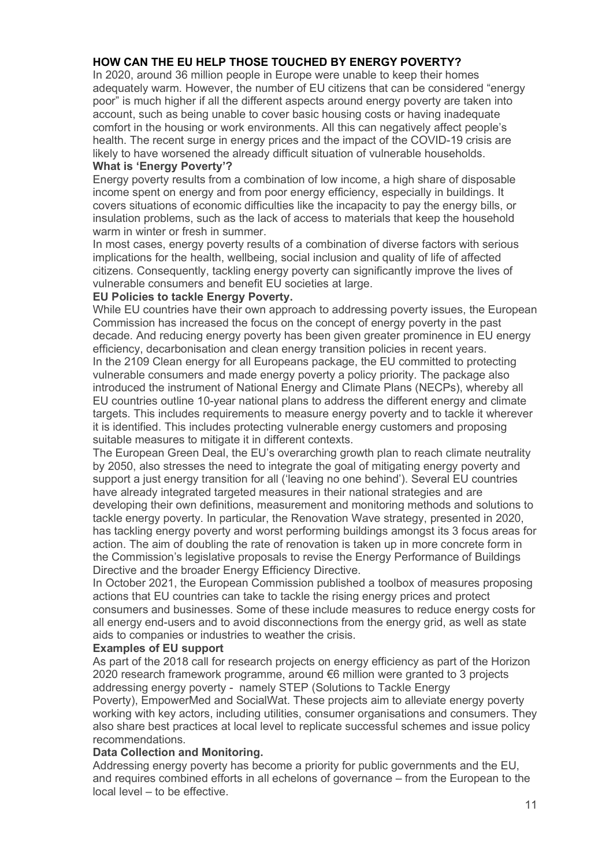# HOW CAN THE EU HELP THOSE TOUCHED BY ENERGY POVERTY?

In 2020, around 36 million people in Europe were unable to keep their homes adequately warm. However, the number of EU citizens that can be considered "energy poor" is much higher if all the different aspects around energy poverty are taken into account, such as being unable to cover basic housing costs or having inadequate comfort in the housing or work environments. All this can negatively affect people's health. The recent surge in energy prices and the impact of the COVID-19 crisis are likely to have worsened the already difficult situation of vulnerable households.

# What is 'Energy Poverty'?

Energy poverty results from a combination of low income, a high share of disposable income spent on energy and from poor energy efficiency, especially in buildings. It covers situations of economic difficulties like the incapacity to pay the energy bills, or insulation problems, such as the lack of access to materials that keep the household warm in winter or fresh in summer.

In most cases, energy poverty results of a combination of diverse factors with serious implications for the health, wellbeing, social inclusion and quality of life of affected citizens. Consequently, tackling energy poverty can significantly improve the lives of vulnerable consumers and benefit EU societies at large.

# EU Policies to tackle Energy Poverty.

While EU countries have their own approach to addressing poverty issues, the European Commission has increased the focus on the concept of energy poverty in the past decade. And reducing energy poverty has been given greater prominence in EU energy efficiency, decarbonisation and clean energy transition policies in recent years. In the 2109 Clean energy for all Europeans package, the EU committed to protecting vulnerable consumers and made energy poverty a policy priority. The package also introduced the instrument of National Energy and Climate Plans (NECPs), whereby all EU countries outline 10-year national plans to address the different energy and climate targets. This includes requirements to measure energy poverty and to tackle it wherever it is identified. This includes protecting vulnerable energy customers and proposing suitable measures to mitigate it in different contexts.

The European Green Deal, the EU's overarching growth plan to reach climate neutrality by 2050, also stresses the need to integrate the goal of mitigating energy poverty and support a just energy transition for all ('leaving no one behind'). Several EU countries have already integrated targeted measures in their national strategies and are developing their own definitions, measurement and monitoring methods and solutions to tackle energy poverty. In particular, the Renovation Wave strategy, presented in 2020, has tackling energy poverty and worst performing buildings amongst its 3 focus areas for action. The aim of doubling the rate of renovation is taken up in more concrete form in the Commission's legislative proposals to revise the Energy Performance of Buildings Directive and the broader Energy Efficiency Directive.

In October 2021, the European Commission published a toolbox of measures proposing actions that EU countries can take to tackle the rising energy prices and protect consumers and businesses. Some of these include measures to reduce energy costs for all energy end-users and to avoid disconnections from the energy grid, as well as state aids to companies or industries to weather the crisis.

# Examples of EU support

As part of the 2018 call for research projects on energy efficiency as part of the Horizon 2020 research framework programme, around €6 million were granted to 3 projects addressing energy poverty - namely STEP (Solutions to Tackle Energy Poverty), EmpowerMed and SocialWat. These projects aim to alleviate energy poverty working with key actors, including utilities, consumer organisations and consumers. They also share best practices at local level to replicate successful schemes and issue policy recommendations.

### Data Collection and Monitoring.

Addressing energy poverty has become a priority for public governments and the EU, and requires combined efforts in all echelons of governance – from the European to the local level – to be effective.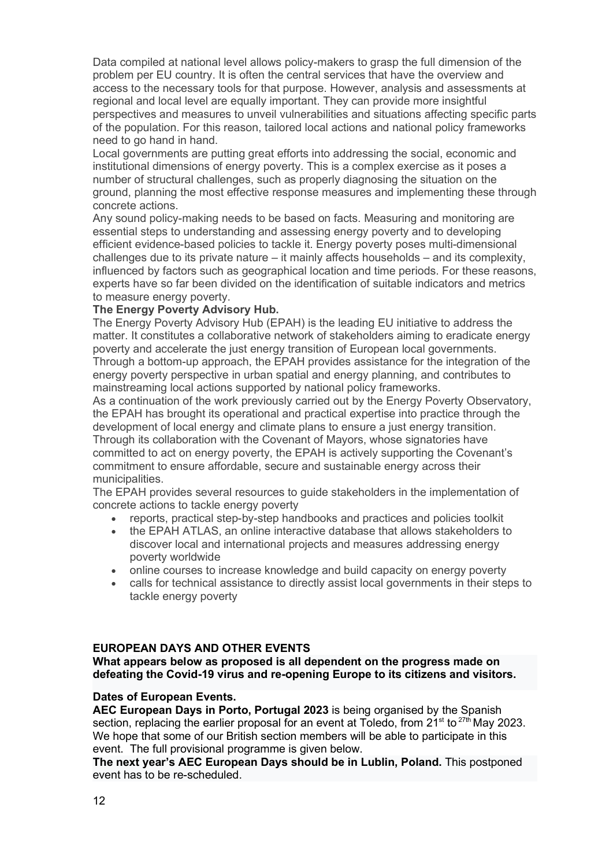Data compiled at national level allows policy-makers to grasp the full dimension of the problem per EU country. It is often the central services that have the overview and access to the necessary tools for that purpose. However, analysis and assessments at regional and local level are equally important. They can provide more insightful perspectives and measures to unveil vulnerabilities and situations affecting specific parts of the population. For this reason, tailored local actions and national policy frameworks need to go hand in hand.

Local governments are putting great efforts into addressing the social, economic and institutional dimensions of energy poverty. This is a complex exercise as it poses a number of structural challenges, such as properly diagnosing the situation on the ground, planning the most effective response measures and implementing these through concrete actions.

Any sound policy-making needs to be based on facts. Measuring and monitoring are essential steps to understanding and assessing energy poverty and to developing efficient evidence-based policies to tackle it. Energy poverty poses multi-dimensional challenges due to its private nature – it mainly affects households – and its complexity, influenced by factors such as geographical location and time periods. For these reasons, experts have so far been divided on the identification of suitable indicators and metrics to measure energy poverty.

# The Energy Poverty Advisory Hub.

The Energy Poverty Advisory Hub (EPAH) is the leading EU initiative to address the matter. It constitutes a collaborative network of stakeholders aiming to eradicate energy poverty and accelerate the just energy transition of European local governments. Through a bottom-up approach, the EPAH provides assistance for the integration of the energy poverty perspective in urban spatial and energy planning, and contributes to mainstreaming local actions supported by national policy frameworks.

As a continuation of the work previously carried out by the Energy Poverty Observatory, the EPAH has brought its operational and practical expertise into practice through the development of local energy and climate plans to ensure a just energy transition. Through its collaboration with the Covenant of Mayors, whose signatories have committed to act on energy poverty, the EPAH is actively supporting the Covenant's commitment to ensure affordable, secure and sustainable energy across their municipalities.

The EPAH provides several resources to guide stakeholders in the implementation of concrete actions to tackle energy poverty

- reports, practical step-by-step handbooks and practices and policies toolkit
- the EPAH ATLAS, an online interactive database that allows stakeholders to discover local and international projects and measures addressing energy poverty worldwide
- online courses to increase knowledge and build capacity on energy poverty
- calls for technical assistance to directly assist local governments in their steps to tackle energy poverty

# EUROPEAN DAYS AND OTHER EVENTS

What appears below as proposed is all dependent on the progress made on defeating the Covid-19 virus and re-opening Europe to its citizens and visitors.

### Dates of European Events.

AEC European Days in Porto, Portugal 2023 is being organised by the Spanish section, replacing the earlier proposal for an event at Toledo, from  $21^{st}$  to  $27^{th}$  May 2023. We hope that some of our British section members will be able to participate in this event. The full provisional programme is given below.

The next year's AEC European Days should be in Lublin, Poland. This postponed event has to be re-scheduled.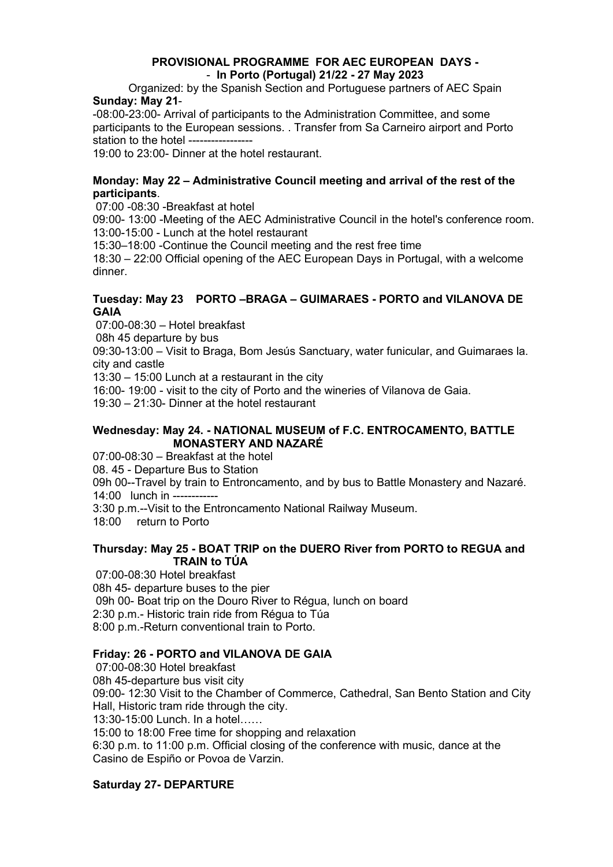# PROVISIONAL PROGRAMME FOR AEC EUROPEAN DAYS - - In Porto (Portugal) 21/22 - 27 May 2023

Organized: by the Spanish Section and Portuguese partners of AEC Spain Sunday: May 21-

-08:00-23:00- Arrival of participants to the Administration Committee, and some participants to the European sessions. . Transfer from Sa Carneiro airport and Porto station to the hotel ------

19:00 to 23:00- Dinner at the hotel restaurant.

# Monday: May 22 – Administrative Council meeting and arrival of the rest of the participants.

07:00 -08:30 -Breakfast at hotel

09:00- 13:00 -Meeting of the AEC Administrative Council in the hotel's conference room. 13:00-15:00 - Lunch at the hotel restaurant

15:30–18:00 -Continue the Council meeting and the rest free time

18:30 – 22:00 Official opening of the AEC European Days in Portugal, with a welcome dinner.

# Tuesday: May 23 PORTO –BRAGA – GUIMARAES - PORTO and VILANOVA DE **GAIA**

07:00-08:30 – Hotel breakfast

08h 45 departure by bus

09:30-13:00 – Visit to Braga, Bom Jesús Sanctuary, water funicular, and Guimaraes la. city and castle

13:30 – 15:00 Lunch at a restaurant in the city

16:00- 19:00 - visit to the city of Porto and the wineries of Vilanova de Gaia.

19:30 – 21:30- Dinner at the hotel restaurant

# Wednesday: May 24. - NATIONAL MUSEUM of F.C. ENTROCAMENTO, BATTLE MONASTERY AND NAZARÉ

07:00-08:30 – Breakfast at the hotel

08. 45 - Departure Bus to Station

09h 00--Travel by train to Entroncamento, and by bus to Battle Monastery and Nazaré.

14:00 lunch in ------------

3:30 p.m.--Visit to the Entroncamento National Railway Museum.

18:00 return to Porto

# Thursday: May 25 - BOAT TRIP on the DUERO River from PORTO to REGUA and TRAIN to TÚA

 07:00-08:30 Hotel breakfast 08h 45- departure buses to the pier 09h 00- Boat trip on the Douro River to Régua, lunch on board 2:30 p.m.- Historic train ride from Régua to Túa 8:00 p.m.-Return conventional train to Porto.

# Friday: 26 - PORTO and VILANOVA DE GAIA

 07:00-08:30 Hotel breakfast 08h 45-departure bus visit city 09:00- 12:30 Visit to the Chamber of Commerce, Cathedral, San Bento Station and City Hall, Historic tram ride through the city. 13:30-15:00 Lunch. In a hotel…… 15:00 to 18:00 Free time for shopping and relaxation 6:30 p.m. to 11:00 p.m. Official closing of the conference with music, dance at the Casino de Espiño or Povoa de Varzin.

# Saturday 27- DEPARTURE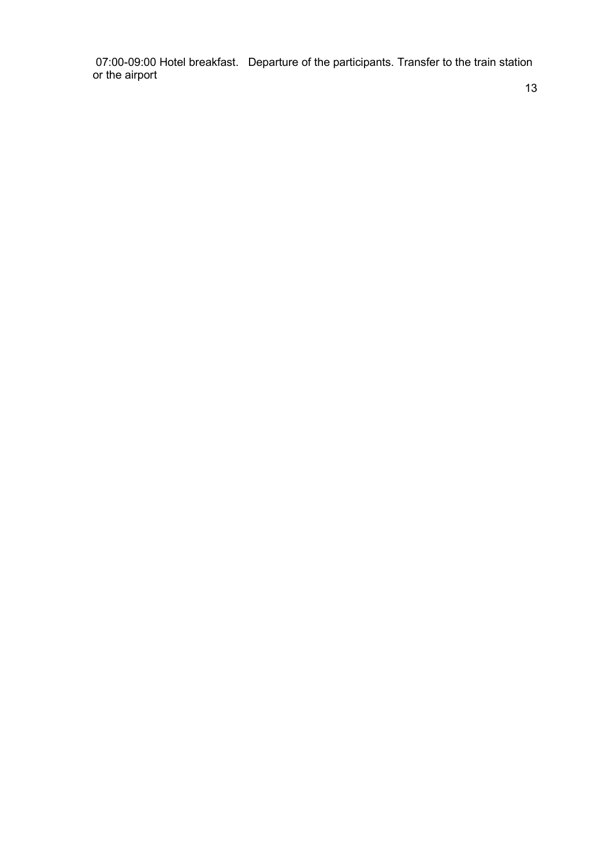07:00-09:00 Hotel breakfast. Departure of the participants. Transfer to the train station or the airport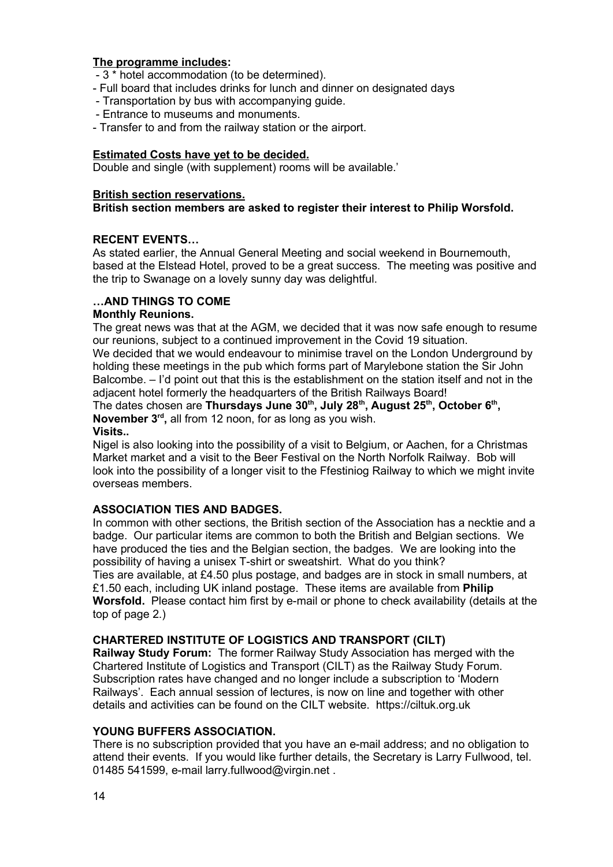# The programme includes:

- 3 \* hotel accommodation (to be determined).
- Full board that includes drinks for lunch and dinner on designated days
- Transportation by bus with accompanying guide.
- Entrance to museums and monuments.
- Transfer to and from the railway station or the airport.

# Estimated Costs have yet to be decided.

Double and single (with supplement) rooms will be available.'

# British section reservations.

# British section members are asked to register their interest to Philip Worsfold.

# RECENT EVENTS…

As stated earlier, the Annual General Meeting and social weekend in Bournemouth, based at the Elstead Hotel, proved to be a great success. The meeting was positive and the trip to Swanage on a lovely sunny day was delightful.

# …AND THINGS TO COME

### Monthly Reunions.

The great news was that at the AGM, we decided that it was now safe enough to resume our reunions, subject to a continued improvement in the Covid 19 situation. We decided that we would endeavour to minimise travel on the London Underground by holding these meetings in the pub which forms part of Marylebone station the Sir John Balcombe. – I'd point out that this is the establishment on the station itself and not in the adjacent hotel formerly the headquarters of the British Railways Board!

The dates chosen are Thursdays June 30<sup>th</sup>, July 28<sup>th</sup>, August 25<sup>th</sup>, October 6<sup>th</sup>, November 3<sup>rd</sup>, all from 12 noon, for as long as you wish.

# Visits..

Nigel is also looking into the possibility of a visit to Belgium, or Aachen, for a Christmas Market market and a visit to the Beer Festival on the North Norfolk Railway. Bob will look into the possibility of a longer visit to the Ffestiniog Railway to which we might invite overseas members.

# ASSOCIATION TIES AND BADGES.

In common with other sections, the British section of the Association has a necktie and a badge. Our particular items are common to both the British and Belgian sections. We have produced the ties and the Belgian section, the badges. We are looking into the possibility of having a unisex T-shirt or sweatshirt. What do you think? Ties are available, at £4.50 plus postage, and badges are in stock in small numbers, at £1.50 each, including UK inland postage. These items are available from Philip Worsfold. Please contact him first by e-mail or phone to check availability (details at the top of page 2.)

# CHARTERED INSTITUTE OF LOGISTICS AND TRANSPORT (CILT)

Railway Study Forum: The former Railway Study Association has merged with the Chartered Institute of Logistics and Transport (CILT) as the Railway Study Forum. Subscription rates have changed and no longer include a subscription to 'Modern Railways'. Each annual session of lectures, is now on line and together with other details and activities can be found on the CILT website. https://ciltuk.org.uk

# YOUNG BUFFERS ASSOCIATION.

There is no subscription provided that you have an e-mail address; and no obligation to attend their events. If you would like further details, the Secretary is Larry Fullwood, tel. 01485 541599, e-mail larry.fullwood@virgin.net.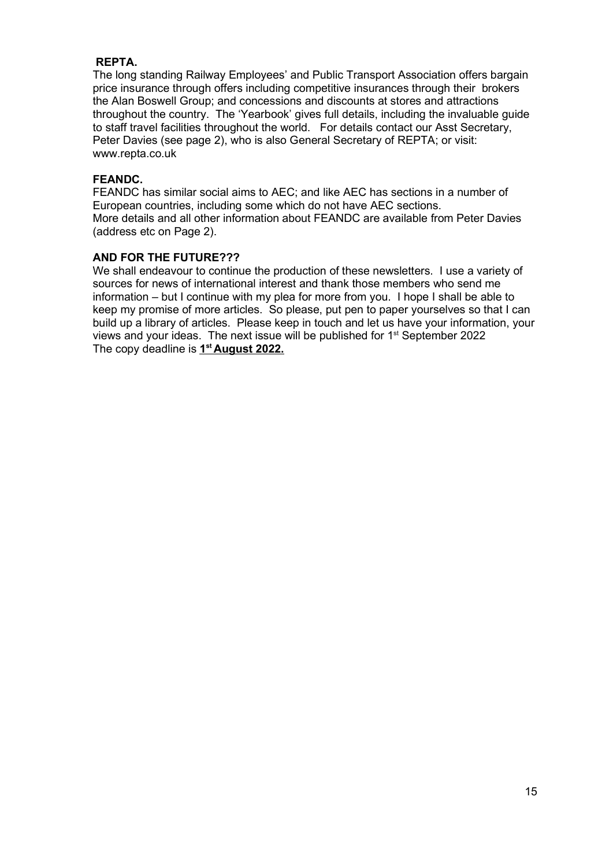# REPTA.

The long standing Railway Employees' and Public Transport Association offers bargain price insurance through offers including competitive insurances through their brokers the Alan Boswell Group; and concessions and discounts at stores and attractions throughout the country. The 'Yearbook' gives full details, including the invaluable guide to staff travel facilities throughout the world. For details contact our Asst Secretary, Peter Davies (see page 2), who is also General Secretary of REPTA; or visit: www.repta.co.uk

# FEANDC.

FEANDC has similar social aims to AEC; and like AEC has sections in a number of European countries, including some which do not have AEC sections. More details and all other information about FEANDC are available from Peter Davies (address etc on Page 2).

# AND FOR THE FUTURE???

We shall endeavour to continue the production of these newsletters. I use a variety of sources for news of international interest and thank those members who send me information – but I continue with my plea for more from you. I hope I shall be able to keep my promise of more articles. So please, put pen to paper yourselves so that I can build up a library of articles. Please keep in touch and let us have your information, your views and your ideas. The next issue will be published for 1<sup>st</sup> September 2022 The copy deadline is 1<sup>st</sup> August 2022.